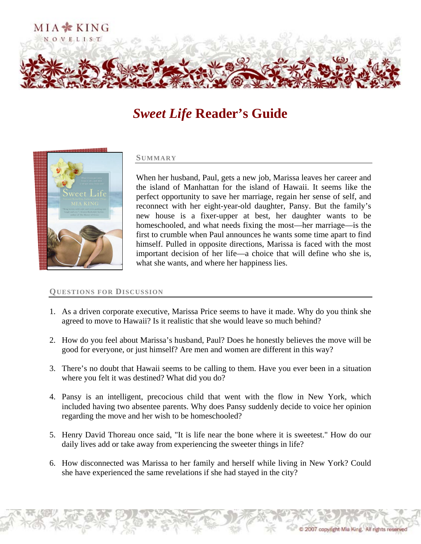

## *Sweet Life* **Reader's Guide**



## **SUMMARY**

When her husband, Paul, gets a new job, Marissa leaves her career and the island of Manhattan for the island of Hawaii. It seems like the perfect opportunity to save her marriage, regain her sense of self, and reconnect with her eight-year-old daughter, Pansy. But the family's new house is a fixer-upper at best, her daughter wants to be homeschooled, and what needs fixing the most—her marriage—is the first to crumble when Paul announces he wants some time apart to find himself. Pulled in opposite directions, Marissa is faced with the most important decision of her life—a choice that will define who she is, what she wants, and where her happiness lies.

## **QUESTIONS FOR DISCUSSION**

- 1. As a driven corporate executive, Marissa Price seems to have it made. Why do you think she agreed to move to Hawaii? Is it realistic that she would leave so much behind?
- 2. How do you feel about Marissa's husband, Paul? Does he honestly believes the move will be good for everyone, or just himself? Are men and women are different in this way?
- 3. There's no doubt that Hawaii seems to be calling to them. Have you ever been in a situation where you felt it was destined? What did you do?
- 4. Pansy is an intelligent, precocious child that went with the flow in New York, which included having two absentee parents. Why does Pansy suddenly decide to voice her opinion regarding the move and her wish to be homeschooled?
- 5. Henry David Thoreau once said, "It is life near the bone where it is sweetest." How do our daily lives add or take away from experiencing the sweeter things in life?
- 6. How disconnected was Marissa to her family and herself while living in New York? Could she have experienced the same revelations if she had stayed in the city?

2007 copyright Mia King. All rights reserved